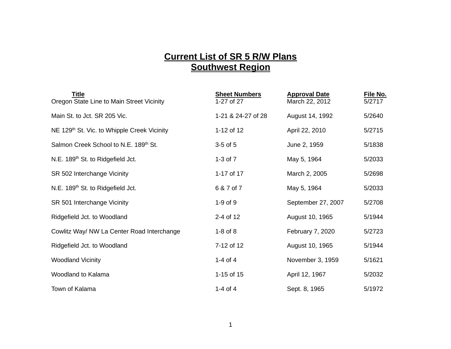## **Current List of SR 5 R/W Plans Southwest Region**

| <b>Title</b><br>Oregon State Line to Main Street Vicinity | <b>Sheet Numbers</b><br>1-27 of 27 | <b>Approval Date</b><br>March 22, 2012 | File No.<br>5/2717 |
|-----------------------------------------------------------|------------------------------------|----------------------------------------|--------------------|
| Main St. to Jct. SR 205 Vic.                              | 1-21 & 24-27 of 28                 | August 14, 1992                        | 5/2640             |
| NE 129th St. Vic. to Whipple Creek Vicinity               | 1-12 of 12                         | April 22, 2010                         | 5/2715             |
| Salmon Creek School to N.E. 189th St.                     | $3-5$ of $5$                       | June 2, 1959                           | 5/1838             |
| N.E. 189 <sup>th</sup> St. to Ridgefield Jct.             | $1-3$ of $7$                       | May 5, 1964                            | 5/2033             |
| SR 502 Interchange Vicinity                               | 1-17 of 17                         | March 2, 2005                          | 5/2698             |
| N.E. 189 <sup>th</sup> St. to Ridgefield Jct.             | 6 & 7 of 7                         | May 5, 1964                            | 5/2033             |
| SR 501 Interchange Vicinity                               | $1-9$ of $9$                       | September 27, 2007                     | 5/2708             |
| Ridgefield Jct. to Woodland                               | 2-4 of 12                          | August 10, 1965                        | 5/1944             |
| Cowlitz Way/ NW La Center Road Interchange                | $1-8$ of $8$                       | February 7, 2020                       | 5/2723             |
| Ridgefield Jct. to Woodland                               | 7-12 of 12                         | August 10, 1965                        | 5/1944             |
| <b>Woodland Vicinity</b>                                  | 1-4 of 4                           | November 3, 1959                       | 5/1621             |
| Woodland to Kalama                                        | 1-15 of 15                         | April 12, 1967                         | 5/2032             |
| Town of Kalama                                            | 1-4 of 4                           | Sept. 8, 1965                          | 5/1972             |